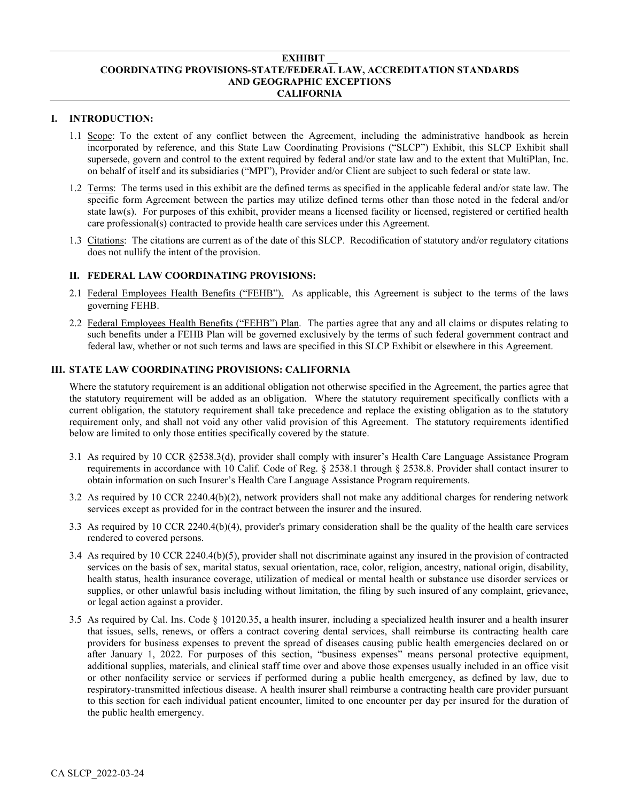#### **EXHIBIT \_\_ COORDINATING PROVISIONS-STATE/FEDERAL LAW, ACCREDITATION STANDARDS AND GEOGRAPHIC EXCEPTIONS CALIFORNIA**

#### **I. INTRODUCTION:**

- 1.1 Scope: To the extent of any conflict between the Agreement, including the administrative handbook as herein incorporated by reference, and this State Law Coordinating Provisions ("SLCP") Exhibit, this SLCP Exhibit shall supersede, govern and control to the extent required by federal and/or state law and to the extent that MultiPlan, Inc. on behalf of itself and its subsidiaries ("MPI"), Provider and/or Client are subject to such federal or state law.
- 1.2 Terms: The terms used in this exhibit are the defined terms as specified in the applicable federal and/or state law. The specific form Agreement between the parties may utilize defined terms other than those noted in the federal and/or state law(s). For purposes of this exhibit, provider means a licensed facility or licensed, registered or certified health care professional(s) contracted to provide health care services under this Agreement.
- 1.3 Citations: The citations are current as of the date of this SLCP. Recodification of statutory and/or regulatory citations does not nullify the intent of the provision.

# **II. FEDERAL LAW COORDINATING PROVISIONS:**

- 2.1 Federal Employees Health Benefits ("FEHB"). As applicable, this Agreement is subject to the terms of the laws governing FEHB.
- 2.2 Federal Employees Health Benefits ("FEHB") Plan. The parties agree that any and all claims or disputes relating to such benefits under a FEHB Plan will be governed exclusively by the terms of such federal government contract and federal law, whether or not such terms and laws are specified in this SLCP Exhibit or elsewhere in this Agreement.

# **III. STATE LAW COORDINATING PROVISIONS: CALIFORNIA**

Where the statutory requirement is an additional obligation not otherwise specified in the Agreement, the parties agree that the statutory requirement will be added as an obligation. Where the statutory requirement specifically conflicts with a current obligation, the statutory requirement shall take precedence and replace the existing obligation as to the statutory requirement only, and shall not void any other valid provision of this Agreement. The statutory requirements identified below are limited to only those entities specifically covered by the statute.

- 3.1 As required by 10 CCR §2538.3(d), provider shall comply with insurer's Health Care Language Assistance Program requirements in accordance with 10 Calif. Code of Reg. § 2538.1 through § 2538.8. Provider shall contact insurer to obtain information on such Insurer's Health Care Language Assistance Program requirements.
- 3.2 As required by 10 CCR 2240.4(b)(2), network providers shall not make any additional charges for rendering network services except as provided for in the contract between the insurer and the insured.
- 3.3 As required by 10 CCR 2240.4(b)(4), provider's primary consideration shall be the quality of the health care services rendered to covered persons.
- 3.4 As required by 10 CCR 2240.4(b)(5), provider shall not discriminate against any insured in the provision of contracted services on the basis of sex, marital status, sexual orientation, race, color, religion, ancestry, national origin, disability, health status, health insurance coverage, utilization of medical or mental health or substance use disorder services or supplies, or other unlawful basis including without limitation, the filing by such insured of any complaint, grievance, or legal action against a provider.
- 3.5 As required by Cal. Ins. Code § 10120.35, a health insurer, including a specialized health insurer and a health insurer that issues, sells, renews, or offers a contract covering dental services, shall reimburse its contracting health care providers for business expenses to prevent the spread of diseases causing public health emergencies declared on or after January 1, 2022. For purposes of this section, "business expenses" means personal protective equipment, additional supplies, materials, and clinical staff time over and above those expenses usually included in an office visit or other nonfacility service or services if performed during a public health emergency, as defined by law, due to respiratory-transmitted infectious disease. A health insurer shall reimburse a contracting health care provider pursuant to this section for each individual patient encounter, limited to one encounter per day per insured for the duration of the public health emergency.